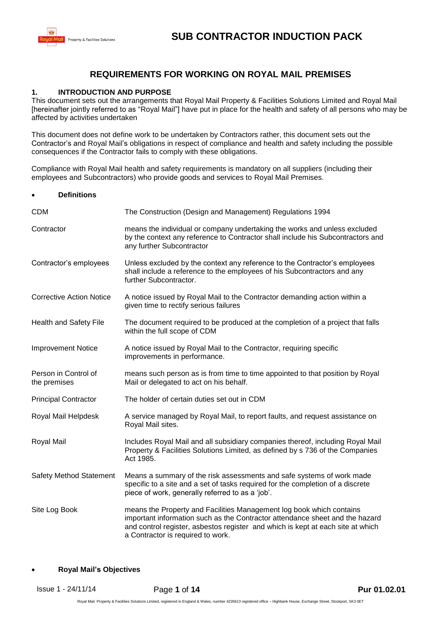

## **REQUIREMENTS FOR WORKING ON ROYAL MAIL PREMISES**

#### **1. INTRODUCTION AND PURPOSE**

This document sets out the arrangements that Royal Mail Property & Facilities Solutions Limited and Royal Mail [hereinafter jointly referred to as "Royal Mail"] have put in place for the health and safety of all persons who may be affected by activities undertaken

This document does not define work to be undertaken by Contractors rather, this document sets out the Contractor's and Royal Mail's obligations in respect of compliance and health and safety including the possible consequences if the Contractor fails to comply with these obligations.

Compliance with Royal Mail health and safety requirements is mandatory on all suppliers (including their employees and Subcontractors) who provide goods and services to Royal Mail Premises.

| <b>Definitions</b><br>$\bullet$      |                                                                                                                                                                                                                                                                              |  |
|--------------------------------------|------------------------------------------------------------------------------------------------------------------------------------------------------------------------------------------------------------------------------------------------------------------------------|--|
| <b>CDM</b>                           | The Construction (Design and Management) Regulations 1994                                                                                                                                                                                                                    |  |
| Contractor                           | means the individual or company undertaking the works and unless excluded<br>by the context any reference to Contractor shall include his Subcontractors and<br>any further Subcontractor                                                                                    |  |
| Contractor's employees               | Unless excluded by the context any reference to the Contractor's employees<br>shall include a reference to the employees of his Subcontractors and any<br>further Subcontractor.                                                                                             |  |
| <b>Corrective Action Notice</b>      | A notice issued by Royal Mail to the Contractor demanding action within a<br>given time to rectify serious failures                                                                                                                                                          |  |
| Health and Safety File               | The document required to be produced at the completion of a project that falls<br>within the full scope of CDM                                                                                                                                                               |  |
| <b>Improvement Notice</b>            | A notice issued by Royal Mail to the Contractor, requiring specific<br>improvements in performance.                                                                                                                                                                          |  |
| Person in Control of<br>the premises | means such person as is from time to time appointed to that position by Royal<br>Mail or delegated to act on his behalf.                                                                                                                                                     |  |
| <b>Principal Contractor</b>          | The holder of certain duties set out in CDM                                                                                                                                                                                                                                  |  |
| Royal Mail Helpdesk                  | A service managed by Royal Mail, to report faults, and request assistance on<br>Royal Mail sites.                                                                                                                                                                            |  |
| Royal Mail                           | Includes Royal Mail and all subsidiary companies thereof, including Royal Mail<br>Property & Facilities Solutions Limited, as defined by s 736 of the Companies<br>Act 1985.                                                                                                 |  |
| <b>Safety Method Statement</b>       | Means a summary of the risk assessments and safe systems of work made<br>specific to a site and a set of tasks required for the completion of a discrete<br>piece of work, generally referred to as a 'job'.                                                                 |  |
| Site Log Book                        | means the Property and Facilities Management log book which contains<br>important information such as the Contractor attendance sheet and the hazard<br>and control register, asbestos register and which is kept at each site at which<br>a Contractor is required to work. |  |
|                                      |                                                                                                                                                                                                                                                                              |  |

#### **Royal Mail's Objectives**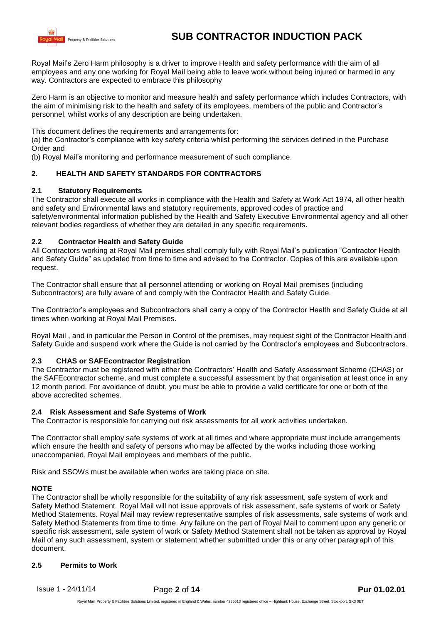

Royal Mail's Zero Harm philosophy is a driver to improve Health and safety performance with the aim of all employees and any one working for Royal Mail being able to leave work without being injured or harmed in any way. Contractors are expected to embrace this philosophy

Zero Harm is an objective to monitor and measure health and safety performance which includes Contractors, with the aim of minimising risk to the health and safety of its employees, members of the public and Contractor's personnel, whilst works of any description are being undertaken.

This document defines the requirements and arrangements for:

(a) the Contractor's compliance with key safety criteria whilst performing the services defined in the Purchase Order and

(b) Royal Mail's monitoring and performance measurement of such compliance.

## **2. HEALTH AND SAFETY STANDARDS FOR CONTRACTORS**

## **2.1 Statutory Requirements**

The Contractor shall execute all works in compliance with the Health and Safety at Work Act 1974, all other health and safety and Environmental laws and statutory requirements, approved codes of practice and safety/environmental information published by the Health and Safety Executive Environmental agency and all other relevant bodies regardless of whether they are detailed in any specific requirements.

## **2.2 Contractor Health and Safety Guide**

All Contractors working at Royal Mail premises shall comply fully with Royal Mail's publication "Contractor Health and Safety Guide" as updated from time to time and advised to the Contractor. Copies of this are available upon request.

The Contractor shall ensure that all personnel attending or working on Royal Mail premises (including Subcontractors) are fully aware of and comply with the Contractor Health and Safety Guide.

The Contractor's employees and Subcontractors shall carry a copy of the Contractor Health and Safety Guide at all times when working at Royal Mail Premises.

Royal Mail , and in particular the Person in Control of the premises, may request sight of the Contractor Health and Safety Guide and suspend work where the Guide is not carried by the Contractor's employees and Subcontractors.

## **2.3 CHAS or SAFEcontractor Registration**

The Contractor must be registered with either the Contractors' Health and Safety Assessment Scheme (CHAS) or the SAFEcontractor scheme, and must complete a successful assessment by that organisation at least once in any 12 month period. For avoidance of doubt, you must be able to provide a valid certificate for one or both of the above accredited schemes.

#### **2.4 Risk Assessment and Safe Systems of Work**

The Contractor is responsible for carrying out risk assessments for all work activities undertaken.

The Contractor shall employ safe systems of work at all times and where appropriate must include arrangements which ensure the health and safety of persons who may be affected by the works including those working unaccompanied, Royal Mail employees and members of the public.

Risk and SSOWs must be available when works are taking place on site.

#### **NOTE**

The Contractor shall be wholly responsible for the suitability of any risk assessment, safe system of work and Safety Method Statement. Royal Mail will not issue approvals of risk assessment, safe systems of work or Safety Method Statements. Royal Mail may review representative samples of risk assessments, safe systems of work and Safety Method Statements from time to time. Any failure on the part of Royal Mail to comment upon any generic or specific risk assessment, safe system of work or Safety Method Statement shall not be taken as approval by Royal Mail of any such assessment, system or statement whether submitted under this or any other paragraph of this document.

#### **2.5 Permits to Work**

Issue 1 - 24/11/14 Page **2** of **14 Pur 01.02.01**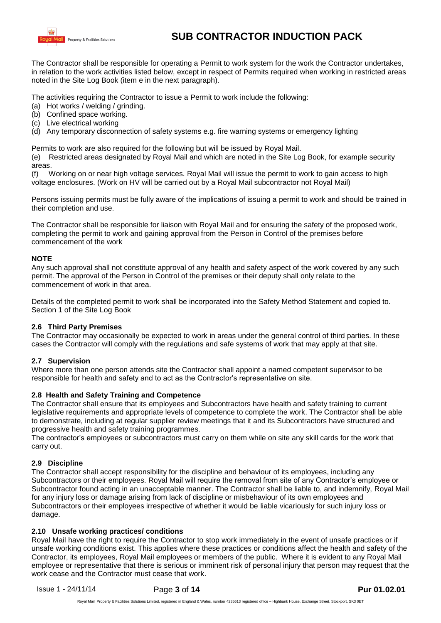

The Contractor shall be responsible for operating a Permit to work system for the work the Contractor undertakes, in relation to the work activities listed below, except in respect of Permits required when working in restricted areas noted in the Site Log Book (item e in the next paragraph).

The activities requiring the Contractor to issue a Permit to work include the following:

- (a) Hot works / welding / grinding.
- (b) Confined space working.
- (c) Live electrical working
- (d) Any temporary disconnection of safety systems e.g. fire warning systems or emergency lighting

Permits to work are also required for the following but will be issued by Royal Mail.

(e) Restricted areas designated by Royal Mail and which are noted in the Site Log Book, for example security areas.

(f) Working on or near high voltage services. Royal Mail will issue the permit to work to gain access to high voltage enclosures. (Work on HV will be carried out by a Royal Mail subcontractor not Royal Mail)

Persons issuing permits must be fully aware of the implications of issuing a permit to work and should be trained in their completion and use.

The Contractor shall be responsible for liaison with Royal Mail and for ensuring the safety of the proposed work, completing the permit to work and gaining approval from the Person in Control of the premises before commencement of the work

#### **NOTE**

Any such approval shall not constitute approval of any health and safety aspect of the work covered by any such permit. The approval of the Person in Control of the premises or their deputy shall only relate to the commencement of work in that area.

Details of the completed permit to work shall be incorporated into the Safety Method Statement and copied to. Section 1 of the Site Log Book

## **2.6 Third Party Premises**

The Contractor may occasionally be expected to work in areas under the general control of third parties. In these cases the Contractor will comply with the regulations and safe systems of work that may apply at that site.

#### **2.7 Supervision**

Where more than one person attends site the Contractor shall appoint a named competent supervisor to be responsible for health and safety and to act as the Contractor's representative on site.

#### **2.8 Health and Safety Training and Competence**

The Contractor shall ensure that its employees and Subcontractors have health and safety training to current legislative requirements and appropriate levels of competence to complete the work. The Contractor shall be able to demonstrate, including at regular supplier review meetings that it and its Subcontractors have structured and progressive health and safety training programmes.

The contractor's employees or subcontractors must carry on them while on site any skill cards for the work that carry out.

#### **2.9 Discipline**

The Contractor shall accept responsibility for the discipline and behaviour of its employees, including any Subcontractors or their employees. Royal Mail will require the removal from site of any Contractor's employee or Subcontractor found acting in an unacceptable manner. The Contractor shall be liable to, and indemnify, Royal Mail for any injury loss or damage arising from lack of discipline or misbehaviour of its own employees and Subcontractors or their employees irrespective of whether it would be liable vicariously for such injury loss or damage.

## **2.10 Unsafe working practices/ conditions**

Royal Mail have the right to require the Contractor to stop work immediately in the event of unsafe practices or if unsafe working conditions exist. This applies where these practices or conditions affect the health and safety of the Contractor, its employees, Royal Mail employees or members of the public. Where it is evident to any Royal Mail employee or representative that there is serious or imminent risk of personal injury that person may request that the work cease and the Contractor must cease that work.

Issue 1 - 24/11/14 Page **3** of **14 Pur 01.02.01**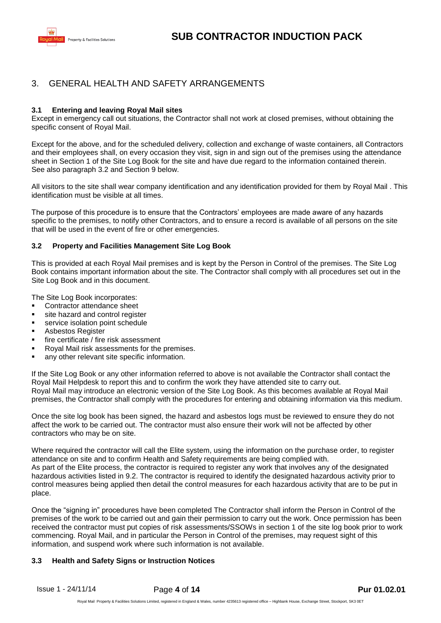

## 3. GENERAL HEALTH AND SAFETY ARRANGEMENTS

## **3.1 Entering and leaving Royal Mail sites**

Except in emergency call out situations, the Contractor shall not work at closed premises, without obtaining the specific consent of Royal Mail.

Except for the above, and for the scheduled delivery, collection and exchange of waste containers, all Contractors and their employees shall, on every occasion they visit, sign in and sign out of the premises using the attendance sheet in Section 1 of the Site Log Book for the site and have due regard to the information contained therein. See also paragraph 3.2 and Section 9 below.

All visitors to the site shall wear company identification and any identification provided for them by Royal Mail . This identification must be visible at all times.

The purpose of this procedure is to ensure that the Contractors' employees are made aware of any hazards specific to the premises, to notify other Contractors, and to ensure a record is available of all persons on the site that will be used in the event of fire or other emergencies.

#### **3.2 Property and Facilities Management Site Log Book**

This is provided at each Royal Mail premises and is kept by the Person in Control of the premises. The Site Log Book contains important information about the site. The Contractor shall comply with all procedures set out in the Site Log Book and in this document.

The Site Log Book incorporates:

- Contractor attendance sheet
- site hazard and control register
- **service isolation point schedule**
- **Asbestos Register**
- **fire certificate / fire risk assessment**
- Royal Mail risk assessments for the premises.
- any other relevant site specific information.

If the Site Log Book or any other information referred to above is not available the Contractor shall contact the Royal Mail Helpdesk to report this and to confirm the work they have attended site to carry out. Royal Mail may introduce an electronic version of the Site Log Book. As this becomes available at Royal Mail premises, the Contractor shall comply with the procedures for entering and obtaining information via this medium.

Once the site log book has been signed, the hazard and asbestos logs must be reviewed to ensure they do not affect the work to be carried out. The contractor must also ensure their work will not be affected by other contractors who may be on site.

Where required the contractor will call the Elite system, using the information on the purchase order, to register attendance on site and to confirm Health and Safety requirements are being complied with. As part of the Elite process, the contractor is required to register any work that involves any of the designated hazardous activities listed in 9.2. The contractor is required to identify the designated hazardous activity prior to control measures being applied then detail the control measures for each hazardous activity that are to be put in place.

Once the "signing in" procedures have been completed The Contractor shall inform the Person in Control of the premises of the work to be carried out and gain their permission to carry out the work. Once permission has been received the contractor must put copies of risk assessments/SSOWs in section 1 of the site log book prior to work commencing. Royal Mail, and in particular the Person in Control of the premises, may request sight of this information, and suspend work where such information is not available.

## **3.3 Health and Safety Signs or Instruction Notices**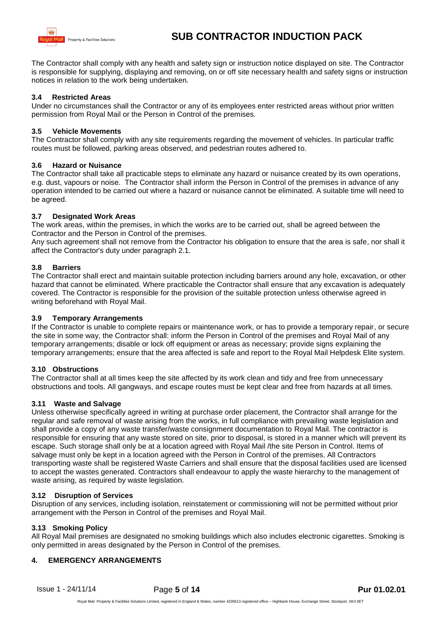

The Contractor shall comply with any health and safety sign or instruction notice displayed on site. The Contractor is responsible for supplying, displaying and removing, on or off site necessary health and safety signs or instruction notices in relation to the work being undertaken.

## **3.4 Restricted Areas**

Under no circumstances shall the Contractor or any of its employees enter restricted areas without prior written permission from Royal Mail or the Person in Control of the premises.

## **3.5 Vehicle Movements**

The Contractor shall comply with any site requirements regarding the movement of vehicles. In particular traffic routes must be followed, parking areas observed, and pedestrian routes adhered to.

## **3.6 Hazard or Nuisance**

The Contractor shall take all practicable steps to eliminate any hazard or nuisance created by its own operations, e.g. dust, vapours or noise. The Contractor shall inform the Person in Control of the premises in advance of any operation intended to be carried out where a hazard or nuisance cannot be eliminated. A suitable time will need to be agreed.

## **3.7 Designated Work Areas**

The work areas, within the premises, in which the works are to be carried out, shall be agreed between the Contractor and the Person in Control of the premises.

Any such agreement shall not remove from the Contractor his obligation to ensure that the area is safe, nor shall it affect the Contractor's duty under paragraph 2.1.

## **3.8 Barriers**

The Contractor shall erect and maintain suitable protection including barriers around any hole, excavation, or other hazard that cannot be eliminated. Where practicable the Contractor shall ensure that any excavation is adequately covered. The Contractor is responsible for the provision of the suitable protection unless otherwise agreed in writing beforehand with Royal Mail.

## **3.9 Temporary Arrangements**

If the Contractor is unable to complete repairs or maintenance work, or has to provide a temporary repair, or secure the site in some way, the Contractor shall: inform the Person in Control of the premises and Royal Mail of any temporary arrangements; disable or lock off equipment or areas as necessary; provide signs explaining the temporary arrangements; ensure that the area affected is safe and report to the Royal Mail Helpdesk Elite system.

## **3.10 Obstructions**

The Contractor shall at all times keep the site affected by its work clean and tidy and free from unnecessary obstructions and tools. All gangways, and escape routes must be kept clear and free from hazards at all times.

## **3.11 Waste and Salvage**

Unless otherwise specifically agreed in writing at purchase order placement, the Contractor shall arrange for the regular and safe removal of waste arising from the works, in full compliance with prevailing waste legislation and shall provide a copy of any waste transfer/waste consignment documentation to Royal Mail. The contractor is responsible for ensuring that any waste stored on site, prior to disposal, is stored in a manner which will prevent its escape. Such storage shall only be at a location agreed with Royal Mail /the site Person in Control. Items of salvage must only be kept in a location agreed with the Person in Control of the premises. All Contractors transporting waste shall be registered Waste Carriers and shall ensure that the disposal facilities used are licensed to accept the wastes generated. Contractors shall endeavour to apply the waste hierarchy to the management of waste arising, as required by waste legislation.

## **3.12 Disruption of Services**

Disruption of any services, including isolation, reinstatement or commissioning will not be permitted without prior arrangement with the Person in Control of the premises and Royal Mail.

## **3.13 Smoking Policy**

All Royal Mail premises are designated no smoking buildings which also includes electronic cigarettes. Smoking is only permitted in areas designated by the Person in Control of the premises.

## **4. EMERGENCY ARRANGEMENTS**

Issue 1 - 24/11/14 Page **5** of **14 Pur 01.02.01**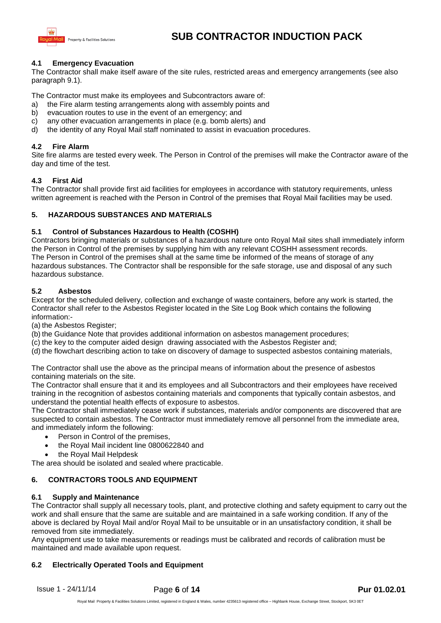

## **4.1 Emergency Evacuation**

The Contractor shall make itself aware of the site rules, restricted areas and emergency arrangements (see also paragraph 9.1).

The Contractor must make its employees and Subcontractors aware of:

- a) the Fire alarm testing arrangements along with assembly points and
- b) evacuation routes to use in the event of an emergency; and
- c) any other evacuation arrangements in place (e.g. bomb alerts) and
- d) the identity of any Royal Mail staff nominated to assist in evacuation procedures.

#### **4.2 Fire Alarm**

Site fire alarms are tested every week. The Person in Control of the premises will make the Contractor aware of the day and time of the test.

#### **4.3 First Aid**

The Contractor shall provide first aid facilities for employees in accordance with statutory requirements, unless written agreement is reached with the Person in Control of the premises that Royal Mail facilities may be used.

## **5. HAZARDOUS SUBSTANCES AND MATERIALS**

#### **5.1 Control of Substances Hazardous to Health (COSHH)**

Contractors bringing materials or substances of a hazardous nature onto Royal Mail sites shall immediately inform the Person in Control of the premises by supplying him with any relevant COSHH assessment records. The Person in Control of the premises shall at the same time be informed of the means of storage of any hazardous substances. The Contractor shall be responsible for the safe storage, use and disposal of any such hazardous substance.

#### **5.2 Asbestos**

Except for the scheduled delivery, collection and exchange of waste containers, before any work is started, the Contractor shall refer to the Asbestos Register located in the Site Log Book which contains the following information:-

(a) the Asbestos Register;

(b) the Guidance Note that provides additional information on asbestos management procedures;

(c) the key to the computer aided design drawing associated with the Asbestos Register and;

(d) the flowchart describing action to take on discovery of damage to suspected asbestos containing materials,

The Contractor shall use the above as the principal means of information about the presence of asbestos containing materials on the site.

The Contractor shall ensure that it and its employees and all Subcontractors and their employees have received training in the recognition of asbestos containing materials and components that typically contain asbestos, and understand the potential health effects of exposure to asbestos.

The Contractor shall immediately cease work if substances, materials and/or components are discovered that are suspected to contain asbestos. The Contractor must immediately remove all personnel from the immediate area, and immediately inform the following:

- Person in Control of the premises,
- the Royal Mail incident line 0800622840 and
- the Royal Mail Helpdesk

The area should be isolated and sealed where practicable.

## **6. CONTRACTORS TOOLS AND EQUIPMENT**

#### **6.1 Supply and Maintenance**

The Contractor shall supply all necessary tools, plant, and protective clothing and safety equipment to carry out the work and shall ensure that the same are suitable and are maintained in a safe working condition. If any of the above is declared by Royal Mail and/or Royal Mail to be unsuitable or in an unsatisfactory condition, it shall be removed from site immediately.

Any equipment use to take measurements or readings must be calibrated and records of calibration must be maintained and made available upon request.

## **6.2 Electrically Operated Tools and Equipment**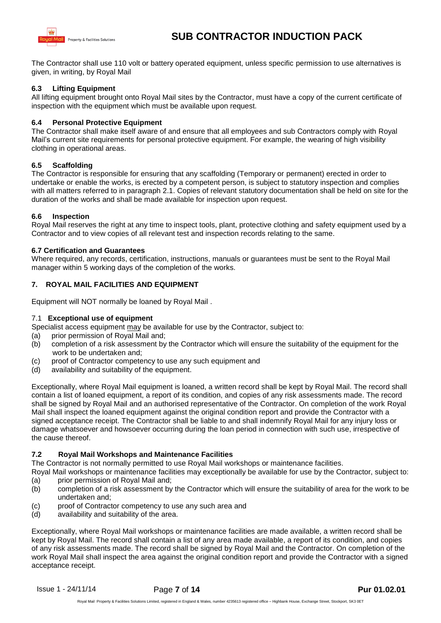

The Contractor shall use 110 volt or battery operated equipment, unless specific permission to use alternatives is given, in writing, by Royal Mail

## **6.3 Lifting Equipment**

All lifting equipment brought onto Royal Mail sites by the Contractor, must have a copy of the current certificate of inspection with the equipment which must be available upon request.

#### **6.4 Personal Protective Equipment**

The Contractor shall make itself aware of and ensure that all employees and sub Contractors comply with Royal Mail's current site requirements for personal protective equipment. For example, the wearing of high visibility clothing in operational areas.

#### **6.5 Scaffolding**

The Contractor is responsible for ensuring that any scaffolding (Temporary or permanent) erected in order to undertake or enable the works, is erected by a competent person, is subject to statutory inspection and complies with all matters referred to in paragraph 2.1. Copies of relevant statutory documentation shall be held on site for the duration of the works and shall be made available for inspection upon request.

#### **6.6 Inspection**

Royal Mail reserves the right at any time to inspect tools, plant, protective clothing and safety equipment used by a Contractor and to view copies of all relevant test and inspection records relating to the same.

#### **6.7 Certification and Guarantees**

Where required, any records, certification, instructions, manuals or guarantees must be sent to the Royal Mail manager within 5 working days of the completion of the works.

## **7. ROYAL MAIL FACILITIES AND EQUIPMENT**

Equipment will NOT normally be loaned by Royal Mail .

#### 7.1 **Exceptional use of equipment**

Specialist access equipment may be available for use by the Contractor, subject to:

- (a) prior permission of Royal Mail and;
- (b) completion of a risk assessment by the Contractor which will ensure the suitability of the equipment for the work to be undertaken and;
- (c) proof of Contractor competency to use any such equipment and
- (d) availability and suitability of the equipment.

Exceptionally, where Royal Mail equipment is loaned, a written record shall be kept by Royal Mail. The record shall contain a list of loaned equipment, a report of its condition, and copies of any risk assessments made. The record shall be signed by Royal Mail and an authorised representative of the Contractor. On completion of the work Royal Mail shall inspect the loaned equipment against the original condition report and provide the Contractor with a signed acceptance receipt. The Contractor shall be liable to and shall indemnify Royal Mail for any injury loss or damage whatsoever and howsoever occurring during the loan period in connection with such use, irrespective of the cause thereof.

#### **7.2 Royal Mail Workshops and Maintenance Facilities**

The Contractor is not normally permitted to use Royal Mail workshops or maintenance facilities.

Royal Mail workshops or maintenance facilities may exceptionally be available for use by the Contractor, subject to: (a) prior permission of Royal Mail and;

- (b) completion of a risk assessment by the Contractor which will ensure the suitability of area for the work to be undertaken and;
- (c) proof of Contractor competency to use any such area and
- (d) availability and suitability of the area.

Exceptionally, where Royal Mail workshops or maintenance facilities are made available, a written record shall be kept by Royal Mail. The record shall contain a list of any area made available, a report of its condition, and copies of any risk assessments made. The record shall be signed by Royal Mail and the Contractor. On completion of the work Royal Mail shall inspect the area against the original condition report and provide the Contractor with a signed acceptance receipt.

Issue 1 - 24/11/14 Page **7** of **14 Pur 01.02.01**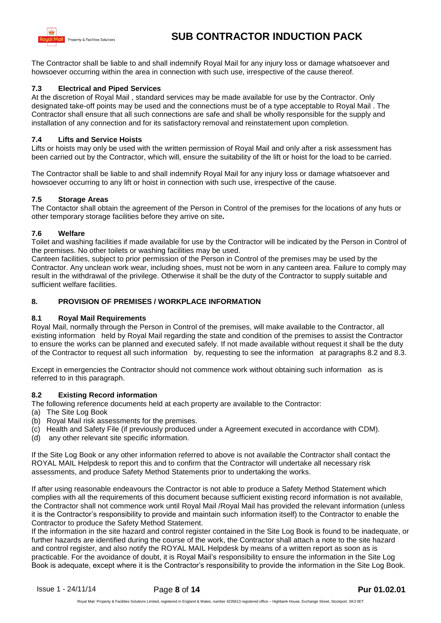

The Contractor shall be liable to and shall indemnify Royal Mail for any injury loss or damage whatsoever and howsoever occurring within the area in connection with such use, irrespective of the cause thereof.

## **7.3 Electrical and Piped Services**

At the discretion of Royal Mail , standard services may be made available for use by the Contractor. Only designated take-off points may be used and the connections must be of a type acceptable to Royal Mail . The Contractor shall ensure that all such connections are safe and shall be wholly responsible for the supply and installation of any connection and for its satisfactory removal and reinstatement upon completion.

## **7.4 Lifts and Service Hoists**

Lifts or hoists may only be used with the written permission of Royal Mail and only after a risk assessment has been carried out by the Contractor, which will, ensure the suitability of the lift or hoist for the load to be carried.

The Contractor shall be liable to and shall indemnify Royal Mail for any injury loss or damage whatsoever and howsoever occurring to any lift or hoist in connection with such use, irrespective of the cause.

#### **7.5 Storage Areas**

The Contactor shall obtain the agreement of the Person in Control of the premises for the locations of any huts or other temporary storage facilities before they arrive on site**.**

#### **7.6 Welfare**

Toilet and washing facilities if made available for use by the Contractor will be indicated by the Person in Control of the premises. No other toilets or washing facilities may be used.

Canteen facilities, subject to prior permission of the Person in Control of the premises may be used by the Contractor. Any unclean work wear, including shoes, must not be worn in any canteen area. Failure to comply may result in the withdrawal of the privilege. Otherwise it shall be the duty of the Contractor to supply suitable and sufficient welfare facilities.

## **8. PROVISION OF PREMISES / WORKPLACE INFORMATION**

## **8.1 Royal Mail Requirements**

Royal Mail, normally through the Person in Control of the premises, will make available to the Contractor, all existing information held by Royal Mail regarding the state and condition of the premises to assist the Contractor to ensure the works can be planned and executed safely. If not made available without request it shall be the duty of the Contractor to request all such information by, requesting to see the information at paragraphs 8.2 and 8.3.

Except in emergencies the Contractor should not commence work without obtaining such information as is referred to in this paragraph.

#### **8.2 Existing Record information**

The following reference documents held at each property are available to the Contractor:

- (a) The Site Log Book
- (b) Royal Mail risk assessments for the premises.
- (c) Health and Safety File (if previously produced under a Agreement executed in accordance with CDM).
- (d) any other relevant site specific information.

If the Site Log Book or any other information referred to above is not available the Contractor shall contact the ROYAL MAIL Helpdesk to report this and to confirm that the Contractor will undertake all necessary risk assessments, and produce Safety Method Statements prior to undertaking the works.

If after using reasonable endeavours the Contractor is not able to produce a Safety Method Statement which complies with all the requirements of this document because sufficient existing record information is not available, the Contractor shall not commence work until Royal Mail /Royal Mail has provided the relevant information (unless it is the Contractor's responsibility to provide and maintain such information itself) to the Contractor to enable the Contractor to produce the Safety Method Statement.

If the information in the site hazard and control register contained in the Site Log Book is found to be inadequate, or further hazards are identified during the course of the work, the Contractor shall attach a note to the site hazard and control register, and also notify the ROYAL MAIL Helpdesk by means of a written report as soon as is practicable. For the avoidance of doubt, it is Royal Mail's responsibility to ensure the information in the Site Log Book is adequate, except where it is the Contractor's responsibility to provide the information in the Site Log Book.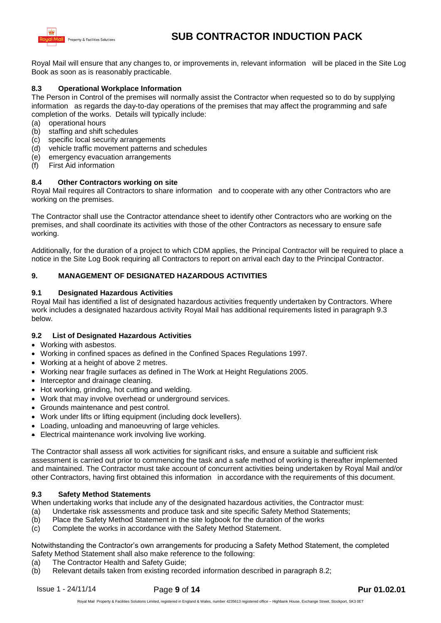

Royal Mail will ensure that any changes to, or improvements in, relevant information will be placed in the Site Log Book as soon as is reasonably practicable.

## **8.3 Operational Workplace Information**

The Person in Control of the premises will normally assist the Contractor when requested so to do by supplying information as regards the day-to-day operations of the premises that may affect the programming and safe completion of the works. Details will typically include:

- (a) operational hours
- (b) staffing and shift schedules
- (c) specific local security arrangements
- (d) vehicle traffic movement patterns and schedules
- (e) emergency evacuation arrangements
- (f) First Aid information

#### **8.4 Other Contractors working on site**

Royal Mail requires all Contractors to share information and to cooperate with any other Contractors who are working on the premises.

The Contractor shall use the Contractor attendance sheet to identify other Contractors who are working on the premises, and shall coordinate its activities with those of the other Contractors as necessary to ensure safe working.

Additionally, for the duration of a project to which CDM applies, the Principal Contractor will be required to place a notice in the Site Log Book requiring all Contractors to report on arrival each day to the Principal Contractor.

#### **9. MANAGEMENT OF DESIGNATED HAZARDOUS ACTIVITIES**

#### **9.1 Designated Hazardous Activities**

Royal Mail has identified a list of designated hazardous activities frequently undertaken by Contractors. Where work includes a designated hazardous activity Royal Mail has additional requirements listed in paragraph 9.3 below.

#### **9.2 List of Designated Hazardous Activities**

- Working with asbestos.
- Working in confined spaces as defined in the Confined Spaces Regulations 1997.
- Working at a height of above 2 metres.
- Working near fragile surfaces as defined in The Work at Height Regulations 2005.
- Interceptor and drainage cleaning.
- Hot working, grinding, hot cutting and welding.
- Work that may involve overhead or underground services.
- Grounds maintenance and pest control.
- Work under lifts or lifting equipment (including dock levellers).
- Loading, unloading and manoeuvring of large vehicles.
- Electrical maintenance work involving live working.

The Contractor shall assess all work activities for significant risks, and ensure a suitable and sufficient risk assessment is carried out prior to commencing the task and a safe method of working is thereafter implemented and maintained. The Contractor must take account of concurrent activities being undertaken by Royal Mail and/or other Contractors, having first obtained this information in accordance with the requirements of this document.

#### **9.3 Safety Method Statements**

When undertaking works that include any of the designated hazardous activities, the Contractor must:

- (a) Undertake risk assessments and produce task and site specific Safety Method Statements;
- (b) Place the Safety Method Statement in the site logbook for the duration of the works
- (c) Complete the works in accordance with the Safety Method Statement.

Notwithstanding the Contractor's own arrangements for producing a Safety Method Statement, the completed Safety Method Statement shall also make reference to the following:

- (a) The Contractor Health and Safety Guide;
- (b) Relevant details taken from existing recorded information described in paragraph 8.2;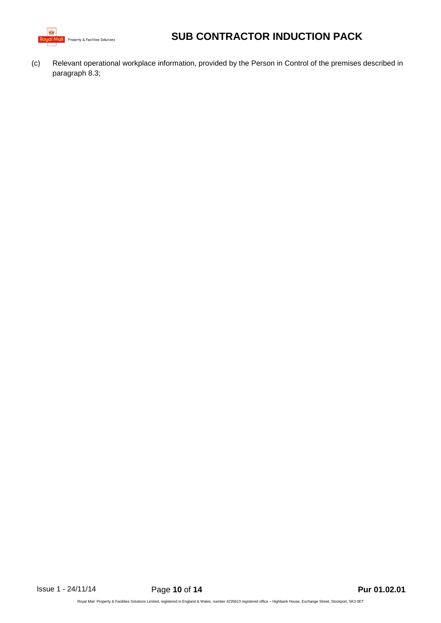

(c) Relevant operational workplace information, provided by the Person in Control of the premises described in paragraph 8.3;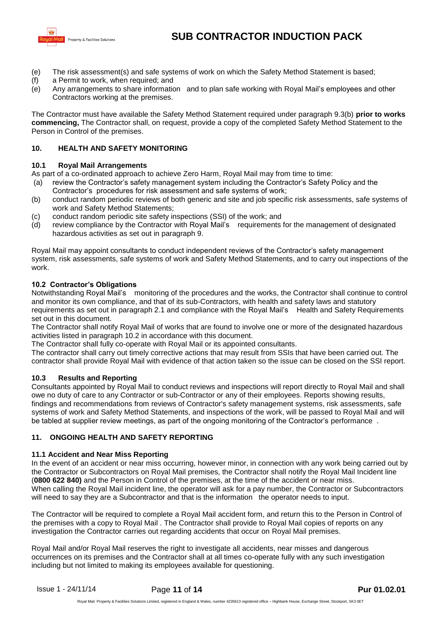

- (e) The risk assessment(s) and safe systems of work on which the Safety Method Statement is based;
- (f) a Permit to work, when required; and
- (e) Any arrangements to share information and to plan safe working with Royal Mail's employees and other Contractors working at the premises.

The Contractor must have available the Safety Method Statement required under paragraph 9.3(b) **prior to works commencing,** The Contractor shall, on request, provide a copy of the completed Safety Method Statement to the Person in Control of the premises.

## **10. HEALTH AND SAFETY MONITORING**

## **10.1 Royal Mail Arrangements**

As part of a co-ordinated approach to achieve Zero Harm, Royal Mail may from time to time:

- (a) review the Contractor's safety management system including the Contractor's Safety Policy and the Contractor's procedures for risk assessment and safe systems of work;
- (b) conduct random periodic reviews of both generic and site and job specific risk assessments, safe systems of work and Safety Method Statements;
- (c) conduct random periodic site safety inspections (SSI) of the work; and
- (d) review compliance by the Contractor with Royal Mail's requirements for the management of designated hazardous activities as set out in paragraph 9.

Royal Mail may appoint consultants to conduct independent reviews of the Contractor's safety management system, risk assessments, safe systems of work and Safety Method Statements, and to carry out inspections of the work.

## **10.2 Contractor's Obligations**

Notwithstanding Royal Mail's monitoring of the procedures and the works, the Contractor shall continue to control and monitor its own compliance, and that of its sub-Contractors, with health and safety laws and statutory requirements as set out in paragraph 2.1 and compliance with the Royal Mail's Health and Safety Requirements set out in this document.

The Contractor shall notify Royal Mail of works that are found to involve one or more of the designated hazardous activities listed in paragraph 10.2 in accordance with this document.

The Contractor shall fully co-operate with Royal Mail or its appointed consultants.

The contractor shall carry out timely corrective actions that may result from SSIs that have been carried out. The contractor shall provide Royal Mail with evidence of that action taken so the issue can be closed on the SSI report.

## **10.3 Results and Reporting**

Consultants appointed by Royal Mail to conduct reviews and inspections will report directly to Royal Mail and shall owe no duty of care to any Contractor or sub-Contractor or any of their employees. Reports showing results, findings and recommendations from reviews of Contractor's safety management systems, risk assessments, safe systems of work and Safety Method Statements, and inspections of the work, will be passed to Royal Mail and will be tabled at supplier review meetings, as part of the ongoing monitoring of the Contractor's performance .

## **11. ONGOING HEALTH AND SAFETY REPORTING**

## **11.1 Accident and Near Miss Reporting**

In the event of an accident or near miss occurring, however minor, in connection with any work being carried out by the Contractor or Subcontractors on Royal Mail premises, the Contractor shall notify the Royal Mail Incident line (**0800 622 840)** and the Person in Control of the premises, at the time of the accident or near miss. When calling the Royal Mail incident line, the operator will ask for a pay number, the Contractor or Subcontractors will need to say they are a Subcontractor and that is the information the operator needs to input.

The Contractor will be required to complete a Royal Mail accident form, and return this to the Person in Control of the premises with a copy to Royal Mail . The Contractor shall provide to Royal Mail copies of reports on any investigation the Contractor carries out regarding accidents that occur on Royal Mail premises.

Royal Mail and/or Royal Mail reserves the right to investigate all accidents, near misses and dangerous occurrences on its premises and the Contractor shall at all times co-operate fully with any such investigation including but not limited to making its employees available for questioning.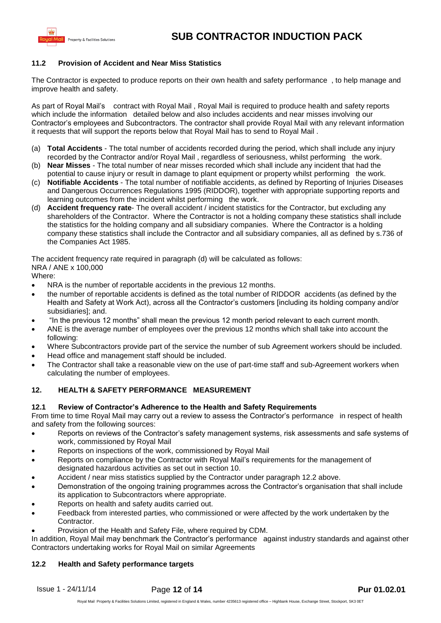

## **11.2 Provision of Accident and Near Miss Statistics**

The Contractor is expected to produce reports on their own health and safety performance , to help manage and improve health and safety.

As part of Royal Mail's contract with Royal Mail , Royal Mail is required to produce health and safety reports which include the information detailed below and also includes accidents and near misses involving our Contractor's employees and Subcontractors. The contractor shall provide Royal Mail with any relevant information it requests that will support the reports below that Royal Mail has to send to Royal Mail .

- (a) **Total Accidents** The total number of accidents recorded during the period, which shall include any injury recorded by the Contractor and/or Royal Mail , regardless of seriousness, whilst performing the work.
- (b) **Near Misses** The total number of near misses recorded which shall include any incident that had the potential to cause injury or result in damage to plant equipment or property whilst performing the work.
- (c) **Notifiable Accidents** The total number of notifiable accidents, as defined by Reporting of Injuries Diseases and Dangerous Occurrences Regulations 1995 (RIDDOR), together with appropriate supporting reports and learning outcomes from the incident whilst performing the work.
- (d) **Accident frequency rate** The overall accident / incident statistics for the Contractor, but excluding any shareholders of the Contractor. Where the Contractor is not a holding company these statistics shall include the statistics for the holding company and all subsidiary companies. Where the Contractor is a holding company these statistics shall include the Contractor and all subsidiary companies, all as defined by s.736 of the Companies Act 1985.

The accident frequency rate required in paragraph (d) will be calculated as follows: NRA / ANE x 100,000

Where:

- NRA is the number of reportable accidents in the previous 12 months.
- the number of reportable accidents is defined as the total number of RIDDOR accidents (as defined by the Health and Safety at Work Act), across all the Contractor's customers [including its holding company and/or subsidiaries]; and.
- "In the previous 12 months" shall mean the previous 12 month period relevant to each current month.
- ANE is the average number of employees over the previous 12 months which shall take into account the following:
- Where Subcontractors provide part of the service the number of sub Agreement workers should be included.
- Head office and management staff should be included.
- The Contractor shall take a reasonable view on the use of part-time staff and sub-Agreement workers when calculating the number of employees.

## **12. HEALTH & SAFETY PERFORMANCE MEASUREMENT**

## **12.1 Review of Contractor's Adherence to the Health and Safety Requirements**

From time to time Royal Mail may carry out a review to assess the Contractor's performance in respect of health and safety from the following sources:

- Reports on reviews of the Contractor's safety management systems, risk assessments and safe systems of work, commissioned by Royal Mail
- Reports on inspections of the work, commissioned by Royal Mail
- Reports on compliance by the Contractor with Royal Mail's requirements for the management of designated hazardous activities as set out in section 10.
- Accident / near miss statistics supplied by the Contractor under paragraph 12.2 above.
- Demonstration of the ongoing training programmes across the Contractor's organisation that shall include its application to Subcontractors where appropriate.
- Reports on health and safety audits carried out.
- Feedback from interested parties, who commissioned or were affected by the work undertaken by the Contractor.
- Provision of the Health and Safety File, where required by CDM.

In addition, Royal Mail may benchmark the Contractor's performance against industry standards and against other Contractors undertaking works for Royal Mail on similar Agreements

## **12.2 Health and Safety performance targets**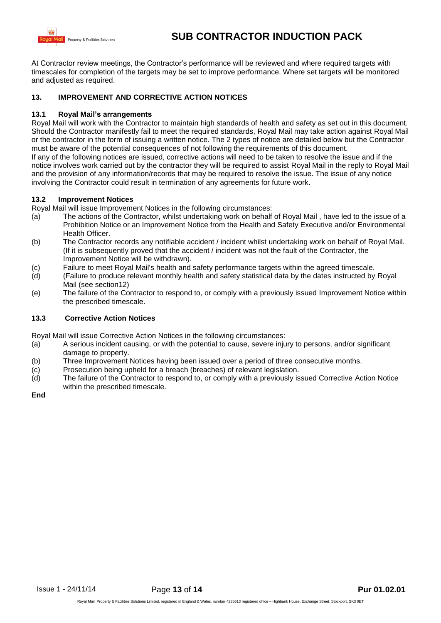

At Contractor review meetings, the Contractor's performance will be reviewed and where required targets with timescales for completion of the targets may be set to improve performance. Where set targets will be monitored and adjusted as required.

#### **13. IMPROVEMENT AND CORRECTIVE ACTION NOTICES**

#### **13.1 Royal Mail's arrangements**

Royal Mail will work with the Contractor to maintain high standards of health and safety as set out in this document. Should the Contractor manifestly fail to meet the required standards, Royal Mail may take action against Royal Mail or the contractor in the form of issuing a written notice. The 2 types of notice are detailed below but the Contractor must be aware of the potential consequences of not following the requirements of this document. If any of the following notices are issued, corrective actions will need to be taken to resolve the issue and if the notice involves work carried out by the contractor they will be required to assist Royal Mail in the reply to Royal Mail and the provision of any information/records that may be required to resolve the issue. The issue of any notice involving the Contractor could result in termination of any agreements for future work.

#### **13.2 Improvement Notices**

Royal Mail will issue Improvement Notices in the following circumstances:

- (a) The actions of the Contractor, whilst undertaking work on behalf of Royal Mail , have led to the issue of a Prohibition Notice or an Improvement Notice from the Health and Safety Executive and/or Environmental Health Officer.
- (b) The Contractor records any notifiable accident / incident whilst undertaking work on behalf of Royal Mail. (If it is subsequently proved that the accident / incident was not the fault of the Contractor, the Improvement Notice will be withdrawn).
- (c) Failure to meet Royal Mail's health and safety performance targets within the agreed timescale.
- (d) (Failure to produce relevant monthly health and safety statistical data by the dates instructed by Royal Mail (see section12)
- (e) The failure of the Contractor to respond to, or comply with a previously issued Improvement Notice within the prescribed timescale.

#### **13.3 Corrective Action Notices**

Royal Mail will issue Corrective Action Notices in the following circumstances:

- (a) A serious incident causing, or with the potential to cause, severe injury to persons, and/or significant damage to property.
- (b) Three Improvement Notices having been issued over a period of three consecutive months.
- (c) Prosecution being upheld for a breach (breaches) of relevant legislation.
- (d) The failure of the Contractor to respond to, or comply with a previously issued Corrective Action Notice within the prescribed timescale.

**End**